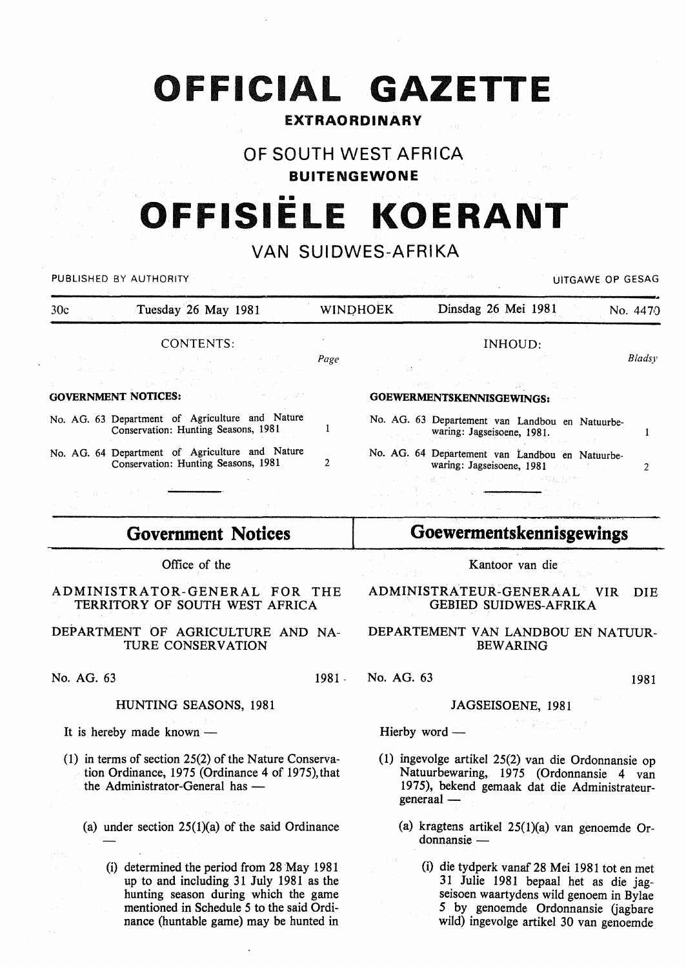# **OFFICIAL GAZETTE**

### EXTRAORDINARY

### OF SOUTH WEST AFRICA

#### BUITENGEWONE

# •• **OFFISIELE KOERANT**

# VAN SUIDWES-AFRIKA

| PUBLISHED BY AUTHORITY |                                                                                                                                                                                                                                                                                                                                                                                                                                                                                                                                                                                                                                                                                                                       |  | UITGAWE OP GESAG |                                                                                                                                                                                                                                                                                                               |                                                 |          |  |
|------------------------|-----------------------------------------------------------------------------------------------------------------------------------------------------------------------------------------------------------------------------------------------------------------------------------------------------------------------------------------------------------------------------------------------------------------------------------------------------------------------------------------------------------------------------------------------------------------------------------------------------------------------------------------------------------------------------------------------------------------------|--|------------------|---------------------------------------------------------------------------------------------------------------------------------------------------------------------------------------------------------------------------------------------------------------------------------------------------------------|-------------------------------------------------|----------|--|
| 30c                    | Tuesday 26 May 1981                                                                                                                                                                                                                                                                                                                                                                                                                                                                                                                                                                                                                                                                                                   |  | <b>WINDHOEK</b>  | Dinsdag 26 Mei 1981                                                                                                                                                                                                                                                                                           |                                                 | No. 4470 |  |
| <b>CONTENTS:</b>       |                                                                                                                                                                                                                                                                                                                                                                                                                                                                                                                                                                                                                                                                                                                       |  | INHOUD:          |                                                                                                                                                                                                                                                                                                               |                                                 |          |  |
|                        | the contract of the contract of the contract of the contract of the <b>Page</b><br>공장 도와 그는 저 도와 가고 말을 하는 것이 모습니다.<br>$\mathcal{N}^{\mathcal{N}}_{\mathcal{N}}(\mathcal{N}_{\mathcal{N}}) = \mathcal{N}^{\mathcal{N}}_{\mathcal{N}}(\mathcal{N}_{\mathcal{N}}) = \mathcal{N}^{\mathcal{N}}_{\mathcal{N}}(\mathcal{N}_{\mathcal{N}}) = \mathcal{N}^{\mathcal{N}}_{\mathcal{N}}(\mathcal{N}_{\mathcal{N}}) = \mathcal{N}^{\mathcal{N}}_{\mathcal{N}}(\mathcal{N}_{\mathcal{N}})$<br><b>GOVERNMENT NOTICES:</b> The contract of the contract of the contract of the contract of the contract of the contract of the contract of the contract of the contract of the contract of the contract of the contract of the cont |  |                  | and the second control of the second control of the second second second second second second second second second second second second second second second second second second second second second second second second se<br>そうし 熱力 しょうしょう いっこうしょう<br>医心室神经炎 化环氧化物 医鼻突 计加入变<br>GOEWERMENTSKENNISGEWINGS: |                                                 | Bladsy   |  |
|                        | No. AG. 63 Department of Agriculture and Nature<br>Conservation: Hunting Seasons, 1981                                                                                                                                                                                                                                                                                                                                                                                                                                                                                                                                                                                                                                |  |                  | waring: Jagseisoene, 1981.                                                                                                                                                                                                                                                                                    | No. AG. 63 Departement van Landbou en Natuurbe- |          |  |
|                        | No. AG. 64 Department of Agriculture and Nature<br>Conservation: Hunting Seasons, 1981                                                                                                                                                                                                                                                                                                                                                                                                                                                                                                                                                                                                                                |  |                  | waring: Jagseisoene, 1981                                                                                                                                                                                                                                                                                     | No. AG. 64 Departement van Landbou en Natuurbe- |          |  |
| any sales and the      |                                                                                                                                                                                                                                                                                                                                                                                                                                                                                                                                                                                                                                                                                                                       |  |                  | 1. コードプラ線 Tool 特別の More Local の前提 提携し<br><u> 1999 - Johann Barnett, martin a</u>                                                                                                                                                                                                                              |                                                 |          |  |

# **Government Notices**

Office of the

ADMINISTRATOR-GENERAL FOR THE TERRITORY OF SOUTH WEST AFRICA

DEPARTMENT OF AGRICULTURE AND NA-TURE CONSERVATION

# **Goewermentskennisgewings**

Kantoor van die

#### ADMINISTRA TEUR-GENERAAL VIR DIE GEBIED SUIDWES-AFRIKA

#### DEPARTEMENT VAN LANDBOU EN NATUUR-BEWARING

No. AG. 63 1981. No. AG. 63 1981. 1981.

#### JAGSEISOENE, 1981

Hierby word -

- (1) ingevolge artikel 25(2) van die Ordonnansie op Natuurbewaring, 1975 (Ordonnansie 4 van 1975), bekend gemaak dat die Administrateurgeneraal-
	- (a) kragtens artikel 25(1)(a) van genoemde Ordonnansie-
		- (i) die tydperk vanaf 28 Mei 1981 tot en met 31 Julie 1981 bepaal het as die jagseisoen waartydens wild genoem in Bylae 5 by genoemde Ordonnansie (jagbare wild) ingevolge artikel 30 van genoernde

#### HUNTING SEASONS, 1981

It is hereby made known  $-$ 

- (1) in terms of section 25(2) of the Nature Conservation Ordinance, 1975 (Ordinance 4 of 1975), that the Administrator-General has -
	- (a) under section  $25(1)(a)$  of the said Ordinance
		- (i) determined the period from 28 May 1981 up to and including 31 July 1981 as the hunting season during which the game mentioned in Schedule 5 to the said Ordinance (huntable game) may be hunted in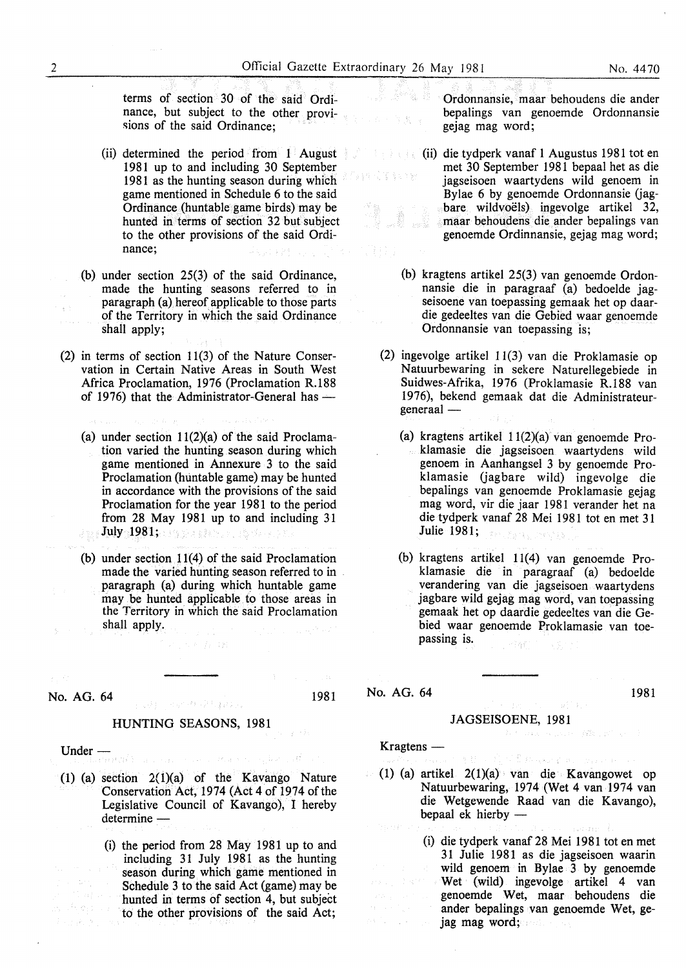鲨 高出西脑

terms of section 30 of the said Ordinance, but subject to the other provisions of the said Ordinance;

- (ii) determined the period from 1 August 1981 up to and including 30 September 1981 as the hunting season during which game mentioned in Schedule 6 to the said Ordinance (huntable game birds) may be hunted in terms of section 32 but subject to the other provisions of the said Ordinance;
- (b) under section 25(3) of the said Ordinance, made the hunting seasons referred to in paragraph (a) hereof applicable to those parts of the Territory in which the said Ordinance shall apply;
- (2) in terms of section 11(3) of the Nature Conservation in Certain Native Areas in South West Africa Proclamation, 1976 (Proclamation R.188 of 1976) that the Administrator-General has  $-$ 
	- (a) under section  $11(2)(a)$  of the said Proclamation varied the hunting season during which game mentioned in Annexure 3 to the said Proclamation (huntable game) may be hunted in accordance with the provisions of the said Proclamation for the year 1981 to the period from 28 May 1981 up to and including 31 July 1981; and some state of the state of
	- (b) under section 11(4) of the said Proclamation made the varied hunting season referred to in . paragraph (a) during which huntable game may be hunted applicable to those areas in the Territory in which the said Proclamation shall apply.

# **No. AG. 64 1981 1981**

#### HUNTING SEASONS, 1981

Under - Constant Processes

- (1) (a) section  $2(1)(a)$  of the Kavango Nature Conservation Act, 1974 (Act 4 of 1974 of the Legislative Council of Kavango), I hereby determine-
	- (i) the period from 28 May 1981 up to and including 31 July 1981 as the hunting season during which game mentioned in Schedule 3 to the said Act (game) may be hunted in terms of section 4, but subject to the other provisions of the said Act;

Ordonnansie, maar behoudens die ander bepalings van genoemde Ordonnansie gejag mag word;

- (ii) die tydperk vanaf 1 Augustus 1981 tot en  $3 + 32$ met 30 September 1981 bepaal het as die jagseisoen waartydens wild genoem in Bylae 6 by genoemde Ordonnansie (jagbare wildvoëls) ingevolge artikel 32, maar behoudens die ander bepalings van genoemde Ordinnansie, gejag mag word;
	- (b) kragtens artikel 25(3) van genoemde Ordonnansie die in paragraaf (a) bedoelde jagseisoene van toepassing gemaak het op daardie gedeeltes van die Gebied waar genoemde Ordonnansie van toepassing is;
- (2) ingevolge artikel 11(3) van die Proklamasie op Natuurbewaring in sekere Naturellegebiede in Suidwes-Afrika, 1976 (Proklamasie R.188 van 1976), bekend gemaak dat die Administrateurgeneraal-
	- (a) kragtens artikel 11(2)(a) van genoemde Proklamasie die jagseisoen waartydens wild genoem in Aanhangsel 3 by genoemde Proklamasie (jagbare wild) ingevolge die bepalings van genoemde Proklamasie gejag mag word, vir die jaar 1981 verander het na die tydperk vanaf 28 Mei 1981 tot en met 31 Julie 1981; Professor Ca
	- (b) kragtens artikel 11(4) van genoemde Proklamasie die in paragraaf (a) bedoelde verandering van die jagseisoen waartydens jagbare wild gejag mag word, van toepassing gemaak het op daardie gedeeltes van die Gebied waar genoemde Proklamasie van toepassing is. 行為症

No. AG. 64 1981

#### JAGSEISOENE, 1981

.<br>Alikuwa mwana

不整体或标本的

 $Krag tens$  —

n Nijeriya.

- (1) (a) artikel 2(1)(a) van die Kavangowet op Natuurbewaring, 1974 (Wet 4 van 1974 van die Wetgewende Raad van die Kavango), bepaal ek hierby  $-$ 
	- (i) die tydperk vanaf 28 Mei 1981 tot en met 31 Julie 1981 as die jagseisoen waarin wild genoem in Bylae 3 by genoemde Wet (wild) ingevolge artikel 4 van genoemde Wet, maar behoudens die ander bepalings van genoemde Wet, gejag mag word;